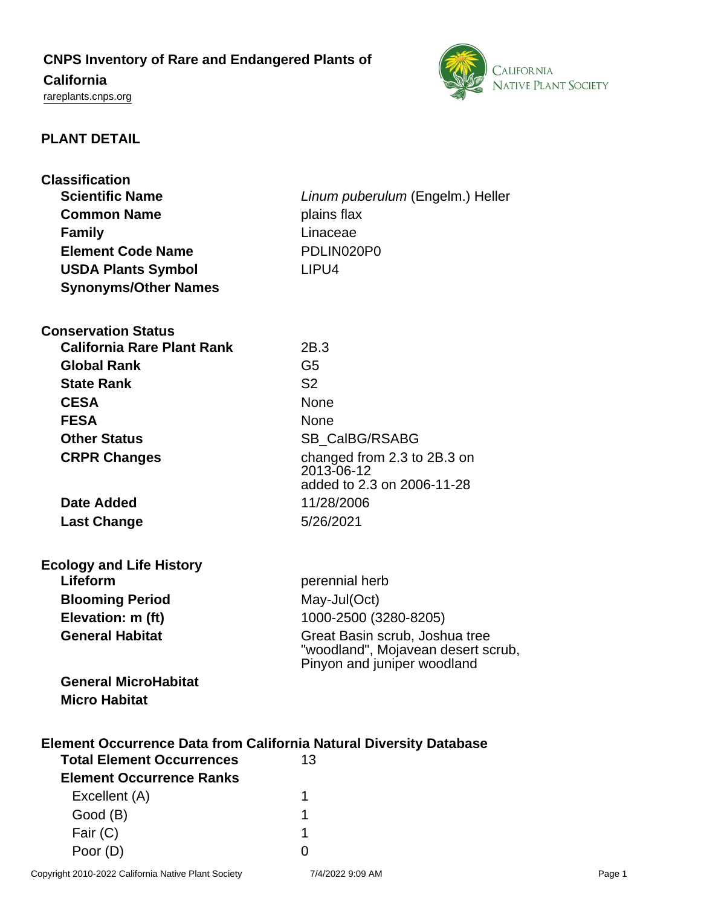# **CNPS Inventory of Rare and Endangered Plants of**

# **California**

<rareplants.cnps.org>



# **PLANT DETAIL**

| <b>Classification</b>                                                                                         |                                                                                                     |
|---------------------------------------------------------------------------------------------------------------|-----------------------------------------------------------------------------------------------------|
| <b>Scientific Name</b>                                                                                        | Linum puberulum (Engelm.) Heller                                                                    |
| <b>Common Name</b>                                                                                            | plains flax                                                                                         |
| <b>Family</b>                                                                                                 | Linaceae                                                                                            |
| <b>Element Code Name</b>                                                                                      | PDLIN020P0                                                                                          |
| <b>USDA Plants Symbol</b>                                                                                     | LIPU4                                                                                               |
| <b>Synonyms/Other Names</b>                                                                                   |                                                                                                     |
| <b>Conservation Status</b>                                                                                    |                                                                                                     |
| <b>California Rare Plant Rank</b>                                                                             | 2B.3                                                                                                |
| <b>Global Rank</b>                                                                                            | G <sub>5</sub>                                                                                      |
| <b>State Rank</b>                                                                                             | S <sub>2</sub>                                                                                      |
| <b>CESA</b>                                                                                                   | <b>None</b>                                                                                         |
| <b>FESA</b>                                                                                                   | None                                                                                                |
| <b>Other Status</b>                                                                                           | SB_CalBG/RSABG                                                                                      |
| <b>CRPR Changes</b>                                                                                           | changed from 2.3 to 2B.3 on                                                                         |
|                                                                                                               | 2013-06-12<br>added to 2.3 on 2006-11-28                                                            |
|                                                                                                               |                                                                                                     |
| Date Added                                                                                                    | 11/28/2006                                                                                          |
| <b>Last Change</b>                                                                                            | 5/26/2021                                                                                           |
| <b>Ecology and Life History</b>                                                                               |                                                                                                     |
| Lifeform                                                                                                      | perennial herb                                                                                      |
| <b>Blooming Period</b>                                                                                        | May-Jul(Oct)                                                                                        |
| Elevation: m (ft)                                                                                             | 1000-2500 (3280-8205)                                                                               |
| <b>General Habitat</b>                                                                                        | Great Basin scrub, Joshua tree<br>"woodland", Mojavean desert scrub,<br>Pinyon and juniper woodland |
| <b>General MicroHabitat</b>                                                                                   |                                                                                                     |
| <b>Micro Habitat</b>                                                                                          |                                                                                                     |
| <b>Element Occurrence Data from California Natural Diversity Database</b><br><b>Total Element Occurrences</b> | 13                                                                                                  |
| <b>Element Occurrence Ranks</b>                                                                               |                                                                                                     |
| Excellent (A)                                                                                                 | 1                                                                                                   |
| Good (B)                                                                                                      | 1                                                                                                   |
| Fair (C)                                                                                                      | 1                                                                                                   |
| Poor (D)                                                                                                      | 0                                                                                                   |